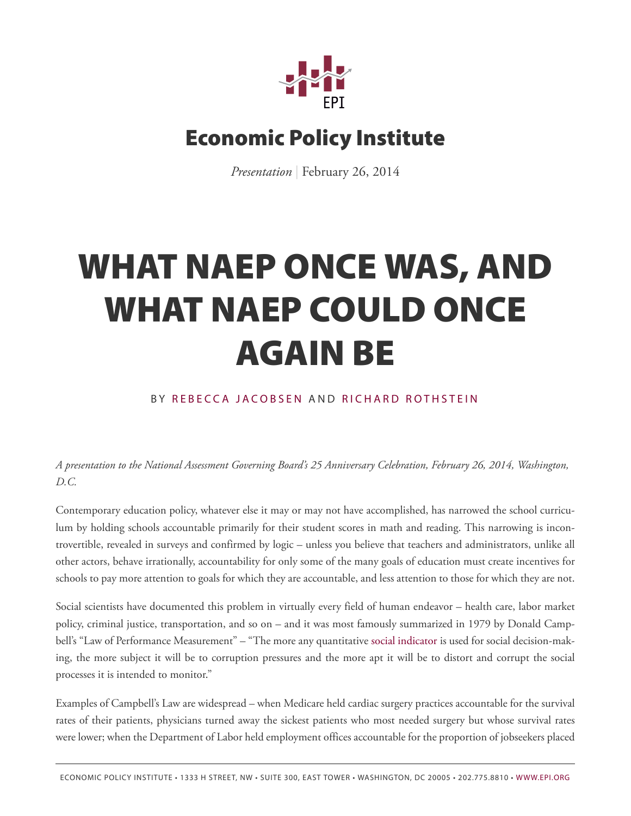

## **Economic Policy Institute**

*Presentation* | February 26, 2014

## **WHAT NAEP ONCE WAS, AND WHAT NAEP COULD ONCE AGAIN BE**

## BY REBECCA JAC[OBSEN](http://www.epi.org/people/rebecca-jacobsen/) AND [RICHARD R](http://www.epi.org/people/richard-rothstein/)OTHSTEIN

*A presentation to the National Assessment Governing Board's 25 Anniversary Celebration, February 26, 2014, Washington, D.C.*

Contemporary education policy, whatever else it may or may not have accomplished, has narrowed the school curriculum by holding schools accountable primarily for their student scores in math and reading. This narrowing is incontrovertible, revealed in surveys and confirmed by logic – unless you believe that teachers and administrators, unlike all other actors, behave irrationally, accountability for only some of the many goals of education must create incentives for schools to pay more attention to goals for which they are accountable, and less attention to those for which they are not.

Social scientists have documented this problem in virtually every field of human endeavor – health care, labor market policy, criminal justice, transportation, and so on – and it was most famously summarized in 1979 by Donald Campbell's "Law of Performance Measurement" – "The more any quantitative social [indicator](http://en.wikipedia.org/wiki/Social_indicator) is used for social decision-making, the more subject it will be to corruption pressures and the more apt it will be to distort and corrupt the social processes it is intended to monitor."

Examples of Campbell's Law are widespread – when Medicare held cardiac surgery practices accountable for the survival rates of their patients, physicians turned away the sickest patients who most needed surgery but whose survival rates were lower; when the Department of Labor held employment offices accountable for the proportion of jobseekers placed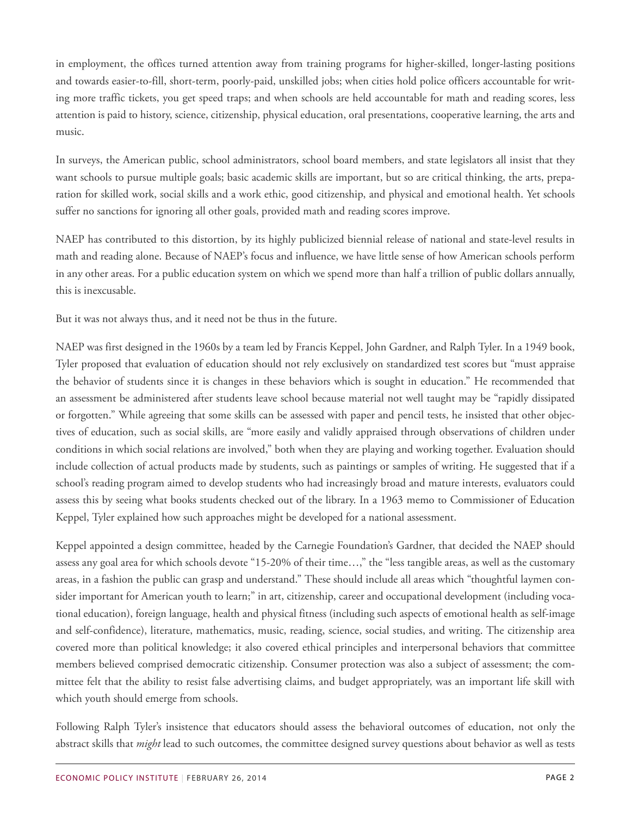in employment, the offices turned attention away from training programs for higher-skilled, longer-lasting positions and towards easier-to-fill, short-term, poorly-paid, unskilled jobs; when cities hold police officers accountable for writing more traffic tickets, you get speed traps; and when schools are held accountable for math and reading scores, less attention is paid to history, science, citizenship, physical education, oral presentations, cooperative learning, the arts and music.

In surveys, the American public, school administrators, school board members, and state legislators all insist that they want schools to pursue multiple goals; basic academic skills are important, but so are critical thinking, the arts, preparation for skilled work, social skills and a work ethic, good citizenship, and physical and emotional health. Yet schools suffer no sanctions for ignoring all other goals, provided math and reading scores improve.

NAEP has contributed to this distortion, by its highly publicized biennial release of national and state-level results in math and reading alone. Because of NAEP's focus and influence, we have little sense of how American schools perform in any other areas. For a public education system on which we spend more than half a trillion of public dollars annually, this is inexcusable.

But it was not always thus, and it need not be thus in the future.

NAEP was first designed in the 1960s by a team led by Francis Keppel, John Gardner, and Ralph Tyler. In a 1949 book, Tyler proposed that evaluation of education should not rely exclusively on standardized test scores but "must appraise the behavior of students since it is changes in these behaviors which is sought in education." He recommended that an assessment be administered after students leave school because material not well taught may be "rapidly dissipated or forgotten." While agreeing that some skills can be assessed with paper and pencil tests, he insisted that other objectives of education, such as social skills, are "more easily and validly appraised through observations of children under conditions in which social relations are involved," both when they are playing and working together. Evaluation should include collection of actual products made by students, such as paintings or samples of writing. He suggested that if a school's reading program aimed to develop students who had increasingly broad and mature interests, evaluators could assess this by seeing what books students checked out of the library. In a 1963 memo to Commissioner of Education Keppel, Tyler explained how such approaches might be developed for a national assessment.

Keppel appointed a design committee, headed by the Carnegie Foundation's Gardner, that decided the NAEP should assess any goal area for which schools devote "15-20% of their time…," the "less tangible areas, as well as the customary areas, in a fashion the public can grasp and understand." These should include all areas which "thoughtful laymen consider important for American youth to learn;" in art, citizenship, career and occupational development (including vocational education), foreign language, health and physical fitness (including such aspects of emotional health as self-image and self-confidence), literature, mathematics, music, reading, science, social studies, and writing. The citizenship area covered more than political knowledge; it also covered ethical principles and interpersonal behaviors that committee members believed comprised democratic citizenship. Consumer protection was also a subject of assessment; the committee felt that the ability to resist false advertising claims, and budget appropriately, was an important life skill with which youth should emerge from schools.

Following Ralph Tyler's insistence that educators should assess the behavioral outcomes of education, not only the abstract skills that *might* lead to such outcomes, the committee designed survey questions about behavior as well as tests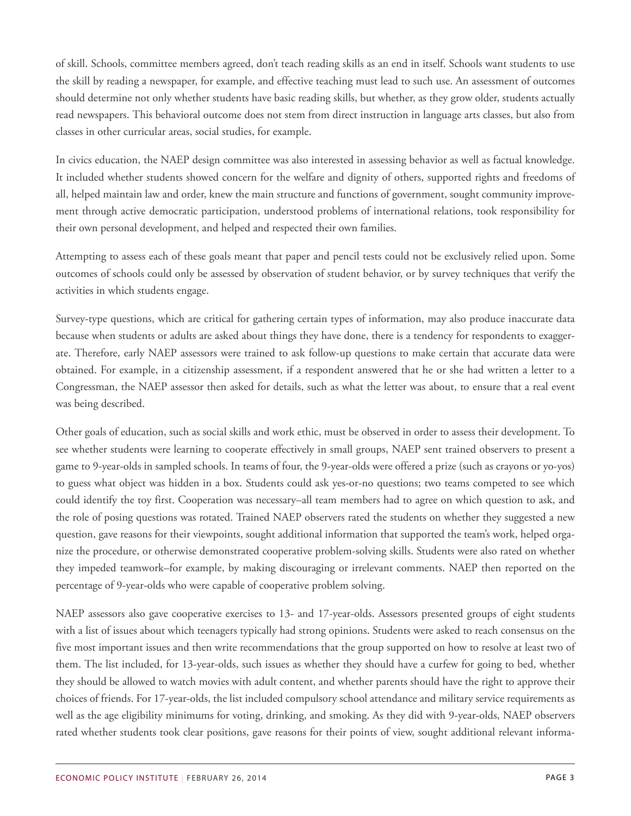of skill. Schools, committee members agreed, don't teach reading skills as an end in itself. Schools want students to use the skill by reading a newspaper, for example, and effective teaching must lead to such use. An assessment of outcomes should determine not only whether students have basic reading skills, but whether, as they grow older, students actually read newspapers. This behavioral outcome does not stem from direct instruction in language arts classes, but also from classes in other curricular areas, social studies, for example.

In civics education, the NAEP design committee was also interested in assessing behavior as well as factual knowledge. It included whether students showed concern for the welfare and dignity of others, supported rights and freedoms of all, helped maintain law and order, knew the main structure and functions of government, sought community improvement through active democratic participation, understood problems of international relations, took responsibility for their own personal development, and helped and respected their own families.

Attempting to assess each of these goals meant that paper and pencil tests could not be exclusively relied upon. Some outcomes of schools could only be assessed by observation of student behavior, or by survey techniques that verify the activities in which students engage.

Survey-type questions, which are critical for gathering certain types of information, may also produce inaccurate data because when students or adults are asked about things they have done, there is a tendency for respondents to exaggerate. Therefore, early NAEP assessors were trained to ask follow-up questions to make certain that accurate data were obtained. For example, in a citizenship assessment, if a respondent answered that he or she had written a letter to a Congressman, the NAEP assessor then asked for details, such as what the letter was about, to ensure that a real event was being described.

Other goals of education, such as social skills and work ethic, must be observed in order to assess their development. To see whether students were learning to cooperate effectively in small groups, NAEP sent trained observers to present a game to 9-year-olds in sampled schools. In teams of four, the 9-year-olds were offered a prize (such as crayons or yo-yos) to guess what object was hidden in a box. Students could ask yes-or-no questions; two teams competed to see which could identify the toy first. Cooperation was necessary–all team members had to agree on which question to ask, and the role of posing questions was rotated. Trained NAEP observers rated the students on whether they suggested a new question, gave reasons for their viewpoints, sought additional information that supported the team's work, helped organize the procedure, or otherwise demonstrated cooperative problem-solving skills. Students were also rated on whether they impeded teamwork–for example, by making discouraging or irrelevant comments. NAEP then reported on the percentage of 9-year-olds who were capable of cooperative problem solving.

NAEP assessors also gave cooperative exercises to 13- and 17-year-olds. Assessors presented groups of eight students with a list of issues about which teenagers typically had strong opinions. Students were asked to reach consensus on the five most important issues and then write recommendations that the group supported on how to resolve at least two of them. The list included, for 13-year-olds, such issues as whether they should have a curfew for going to bed, whether they should be allowed to watch movies with adult content, and whether parents should have the right to approve their choices of friends. For 17-year-olds, the list included compulsory school attendance and military service requirements as well as the age eligibility minimums for voting, drinking, and smoking. As they did with 9-year-olds, NAEP observers rated whether students took clear positions, gave reasons for their points of view, sought additional relevant informa-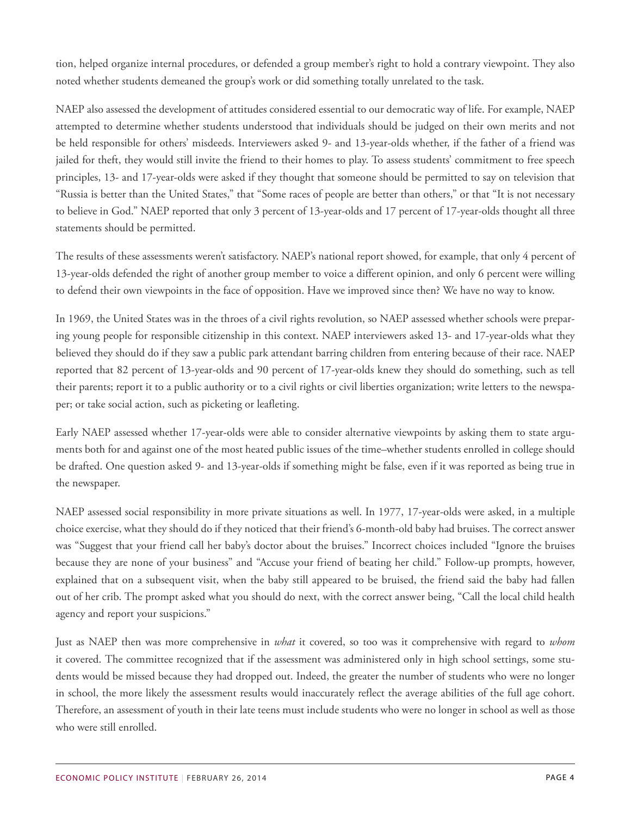tion, helped organize internal procedures, or defended a group member's right to hold a contrary viewpoint. They also noted whether students demeaned the group's work or did something totally unrelated to the task.

NAEP also assessed the development of attitudes considered essential to our democratic way of life. For example, NAEP attempted to determine whether students understood that individuals should be judged on their own merits and not be held responsible for others' misdeeds. Interviewers asked 9- and 13-year-olds whether, if the father of a friend was jailed for theft, they would still invite the friend to their homes to play. To assess students' commitment to free speech principles, 13- and 17-year-olds were asked if they thought that someone should be permitted to say on television that "Russia is better than the United States," that "Some races of people are better than others," or that "It is not necessary to believe in God." NAEP reported that only 3 percent of 13-year-olds and 17 percent of 17-year-olds thought all three statements should be permitted.

The results of these assessments weren't satisfactory. NAEP's national report showed, for example, that only 4 percent of 13-year-olds defended the right of another group member to voice a different opinion, and only 6 percent were willing to defend their own viewpoints in the face of opposition. Have we improved since then? We have no way to know.

In 1969, the United States was in the throes of a civil rights revolution, so NAEP assessed whether schools were preparing young people for responsible citizenship in this context. NAEP interviewers asked 13- and 17-year-olds what they believed they should do if they saw a public park attendant barring children from entering because of their race. NAEP reported that 82 percent of 13-year-olds and 90 percent of 17-year-olds knew they should do something, such as tell their parents; report it to a public authority or to a civil rights or civil liberties organization; write letters to the newspaper; or take social action, such as picketing or leafleting.

Early NAEP assessed whether 17-year-olds were able to consider alternative viewpoints by asking them to state arguments both for and against one of the most heated public issues of the time–whether students enrolled in college should be drafted. One question asked 9- and 13-year-olds if something might be false, even if it was reported as being true in the newspaper.

NAEP assessed social responsibility in more private situations as well. In 1977, 17-year-olds were asked, in a multiple choice exercise, what they should do if they noticed that their friend's 6-month-old baby had bruises. The correct answer was "Suggest that your friend call her baby's doctor about the bruises." Incorrect choices included "Ignore the bruises because they are none of your business" and "Accuse your friend of beating her child." Follow-up prompts, however, explained that on a subsequent visit, when the baby still appeared to be bruised, the friend said the baby had fallen out of her crib. The prompt asked what you should do next, with the correct answer being, "Call the local child health agency and report your suspicions."

Just as NAEP then was more comprehensive in *what* it covered, so too was it comprehensive with regard to *whom* it covered. The committee recognized that if the assessment was administered only in high school settings, some students would be missed because they had dropped out. Indeed, the greater the number of students who were no longer in school, the more likely the assessment results would inaccurately reflect the average abilities of the full age cohort. Therefore, an assessment of youth in their late teens must include students who were no longer in school as well as those who were still enrolled.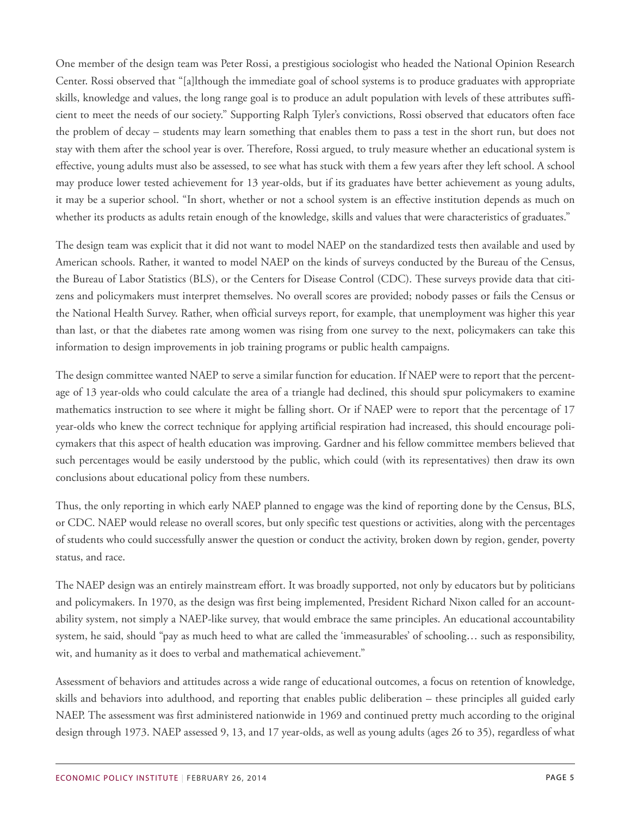One member of the design team was Peter Rossi, a prestigious sociologist who headed the National Opinion Research Center. Rossi observed that "[a]lthough the immediate goal of school systems is to produce graduates with appropriate skills, knowledge and values, the long range goal is to produce an adult population with levels of these attributes sufficient to meet the needs of our society." Supporting Ralph Tyler's convictions, Rossi observed that educators often face the problem of decay – students may learn something that enables them to pass a test in the short run, but does not stay with them after the school year is over. Therefore, Rossi argued, to truly measure whether an educational system is effective, young adults must also be assessed, to see what has stuck with them a few years after they left school. A school may produce lower tested achievement for 13 year-olds, but if its graduates have better achievement as young adults, it may be a superior school. "In short, whether or not a school system is an effective institution depends as much on whether its products as adults retain enough of the knowledge, skills and values that were characteristics of graduates."

The design team was explicit that it did not want to model NAEP on the standardized tests then available and used by American schools. Rather, it wanted to model NAEP on the kinds of surveys conducted by the Bureau of the Census, the Bureau of Labor Statistics (BLS), or the Centers for Disease Control (CDC). These surveys provide data that citizens and policymakers must interpret themselves. No overall scores are provided; nobody passes or fails the Census or the National Health Survey. Rather, when official surveys report, for example, that unemployment was higher this year than last, or that the diabetes rate among women was rising from one survey to the next, policymakers can take this information to design improvements in job training programs or public health campaigns.

The design committee wanted NAEP to serve a similar function for education. If NAEP were to report that the percentage of 13 year-olds who could calculate the area of a triangle had declined, this should spur policymakers to examine mathematics instruction to see where it might be falling short. Or if NAEP were to report that the percentage of 17 year-olds who knew the correct technique for applying artificial respiration had increased, this should encourage policymakers that this aspect of health education was improving. Gardner and his fellow committee members believed that such percentages would be easily understood by the public, which could (with its representatives) then draw its own conclusions about educational policy from these numbers.

Thus, the only reporting in which early NAEP planned to engage was the kind of reporting done by the Census, BLS, or CDC. NAEP would release no overall scores, but only specific test questions or activities, along with the percentages of students who could successfully answer the question or conduct the activity, broken down by region, gender, poverty status, and race.

The NAEP design was an entirely mainstream effort. It was broadly supported, not only by educators but by politicians and policymakers. In 1970, as the design was first being implemented, President Richard Nixon called for an accountability system, not simply a NAEP-like survey, that would embrace the same principles. An educational accountability system, he said, should "pay as much heed to what are called the 'immeasurables' of schooling… such as responsibility, wit, and humanity as it does to verbal and mathematical achievement."

Assessment of behaviors and attitudes across a wide range of educational outcomes, a focus on retention of knowledge, skills and behaviors into adulthood, and reporting that enables public deliberation – these principles all guided early NAEP. The assessment was first administered nationwide in 1969 and continued pretty much according to the original design through 1973. NAEP assessed 9, 13, and 17 year-olds, as well as young adults (ages 26 to 35), regardless of what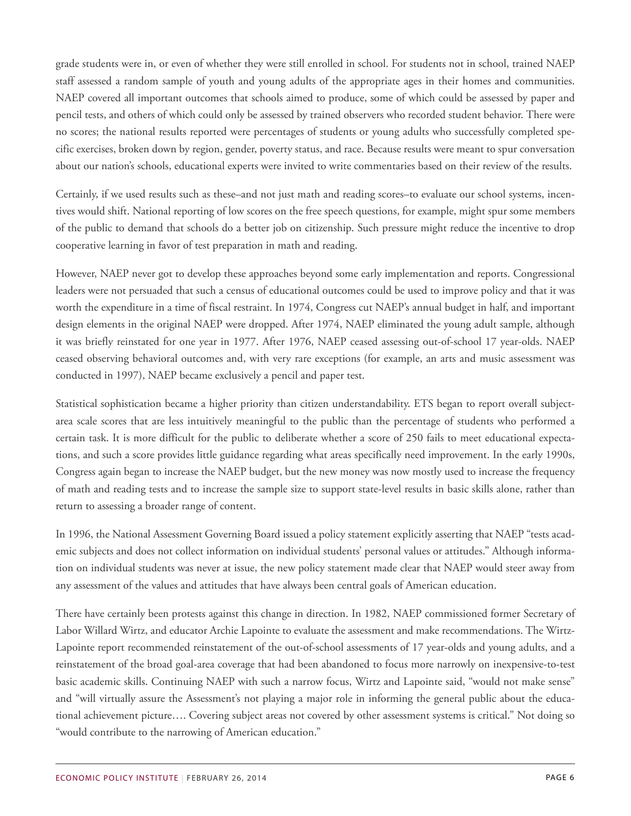grade students were in, or even of whether they were still enrolled in school. For students not in school, trained NAEP staff assessed a random sample of youth and young adults of the appropriate ages in their homes and communities. NAEP covered all important outcomes that schools aimed to produce, some of which could be assessed by paper and pencil tests, and others of which could only be assessed by trained observers who recorded student behavior. There were no scores; the national results reported were percentages of students or young adults who successfully completed specific exercises, broken down by region, gender, poverty status, and race. Because results were meant to spur conversation about our nation's schools, educational experts were invited to write commentaries based on their review of the results.

Certainly, if we used results such as these–and not just math and reading scores–to evaluate our school systems, incentives would shift. National reporting of low scores on the free speech questions, for example, might spur some members of the public to demand that schools do a better job on citizenship. Such pressure might reduce the incentive to drop cooperative learning in favor of test preparation in math and reading.

However, NAEP never got to develop these approaches beyond some early implementation and reports. Congressional leaders were not persuaded that such a census of educational outcomes could be used to improve policy and that it was worth the expenditure in a time of fiscal restraint. In 1974, Congress cut NAEP's annual budget in half, and important design elements in the original NAEP were dropped. After 1974, NAEP eliminated the young adult sample, although it was briefly reinstated for one year in 1977. After 1976, NAEP ceased assessing out-of-school 17 year-olds. NAEP ceased observing behavioral outcomes and, with very rare exceptions (for example, an arts and music assessment was conducted in 1997), NAEP became exclusively a pencil and paper test.

Statistical sophistication became a higher priority than citizen understandability. ETS began to report overall subjectarea scale scores that are less intuitively meaningful to the public than the percentage of students who performed a certain task. It is more difficult for the public to deliberate whether a score of 250 fails to meet educational expectations, and such a score provides little guidance regarding what areas specifically need improvement. In the early 1990s, Congress again began to increase the NAEP budget, but the new money was now mostly used to increase the frequency of math and reading tests and to increase the sample size to support state-level results in basic skills alone, rather than return to assessing a broader range of content.

In 1996, the National Assessment Governing Board issued a policy statement explicitly asserting that NAEP "tests academic subjects and does not collect information on individual students' personal values or attitudes." Although information on individual students was never at issue, the new policy statement made clear that NAEP would steer away from any assessment of the values and attitudes that have always been central goals of American education.

There have certainly been protests against this change in direction. In 1982, NAEP commissioned former Secretary of Labor Willard Wirtz, and educator Archie Lapointe to evaluate the assessment and make recommendations. The Wirtz-Lapointe report recommended reinstatement of the out-of-school assessments of 17 year-olds and young adults, and a reinstatement of the broad goal-area coverage that had been abandoned to focus more narrowly on inexpensive-to-test basic academic skills. Continuing NAEP with such a narrow focus, Wirtz and Lapointe said, "would not make sense" and "will virtually assure the Assessment's not playing a major role in informing the general public about the educational achievement picture…. Covering subject areas not covered by other assessment systems is critical." Not doing so "would contribute to the narrowing of American education."